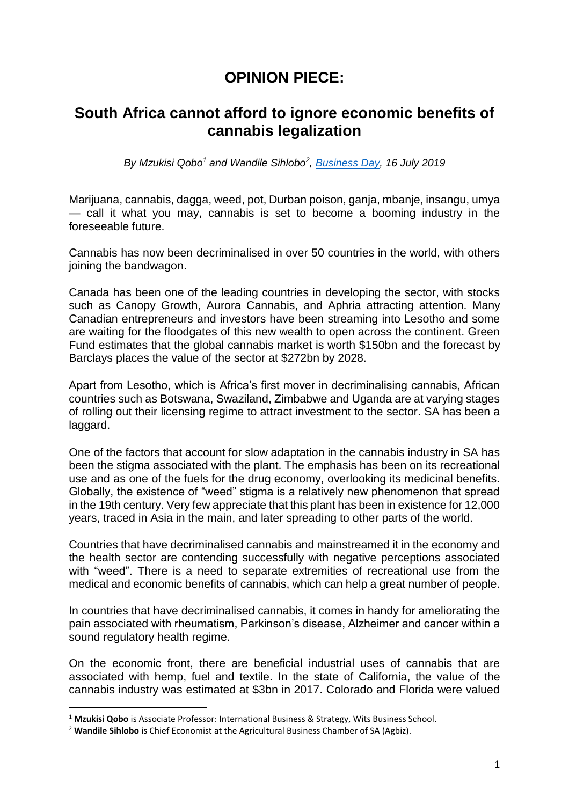## **OPINION PIECE:**

## **South Africa cannot afford to ignore economic benefits of cannabis legalization**

*By Mzukisi Qobo<sup>1</sup> and Wandile Sihlobo<sup>2</sup> , [Business Day,](https://www.businesslive.co.za/bd/opinion/columnists/2019-07-16-sa-cannot-afford-to-ignore-economic-benefits-of-cannabis-legalisation/) 16 July 2019*

Marijuana, cannabis, dagga, weed, pot, Durban poison, ganja, mbanje, insangu, umya — call it what you may, cannabis is set to become a booming industry in the foreseeable future.

Cannabis has now been decriminalised in over 50 countries in the world, with others joining the bandwagon.

Canada has been one of the leading countries in developing the sector, with stocks such as Canopy Growth, Aurora Cannabis, and Aphria attracting attention. Many Canadian entrepreneurs and investors have been streaming into Lesotho and some are waiting for the floodgates of this new wealth to open across the continent. Green Fund estimates that the global cannabis market is worth \$150bn and the forecast by Barclays places the value of the sector at \$272bn by 2028.

Apart from Lesotho, which is Africa's first mover in decriminalising cannabis, African countries such as Botswana, Swaziland, Zimbabwe and Uganda are at varying stages of rolling out their licensing regime to attract investment to the sector. SA has been a laggard.

One of the factors that account for slow adaptation in the cannabis industry in SA has been the stigma associated with the plant. The emphasis has been on its recreational use and as one of the fuels for the drug economy, overlooking its medicinal benefits. Globally, the existence of "weed" stigma is a relatively new phenomenon that spread in the 19th century. Very few appreciate that this plant has been in existence for 12,000 years, traced in Asia in the main, and later spreading to other parts of the world.

Countries that have decriminalised cannabis and mainstreamed it in the economy and the health sector are contending successfully with negative perceptions associated with "weed". There is a need to separate extremities of recreational use from the medical and economic benefits of cannabis, which can help a great number of people.

In countries that have decriminalised cannabis, it comes in handy for ameliorating the pain associated with rheumatism, Parkinson's disease, Alzheimer and cancer within a sound regulatory health regime.

On the economic front, there are beneficial industrial uses of cannabis that are associated with hemp, fuel and textile. In the state of California, the value of the cannabis industry was estimated at \$3bn in 2017. Colorado and Florida were valued

 $\overline{a}$ 

<sup>1</sup> **Mzukisi Qobo** is Associate Professor: International Business & Strategy, Wits Business School.

<sup>2</sup> **Wandile Sihlobo** is Chief Economist at the Agricultural Business Chamber of SA (Agbiz).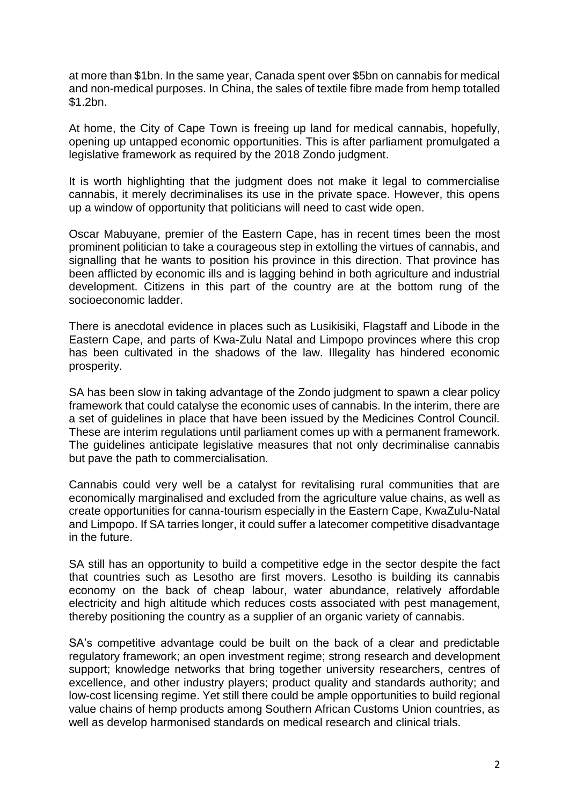at more than \$1bn. In the same year, Canada spent over \$5bn on cannabis for medical and non-medical purposes. In China, the sales of textile fibre made from hemp totalled \$1.2bn.

At home, the City of Cape Town is freeing up land for medical cannabis, hopefully, opening up untapped economic opportunities. This is after parliament promulgated a legislative framework as required by the 2018 Zondo judgment.

It is worth highlighting that the judgment does not make it legal to commercialise cannabis, it merely decriminalises its use in the private space. However, this opens up a window of opportunity that politicians will need to cast wide open.

Oscar Mabuyane, premier of the Eastern Cape, has in recent times been the most prominent politician to take a courageous step in extolling the virtues of cannabis, and signalling that he wants to position his province in this direction. That province has been afflicted by economic ills and is lagging behind in both agriculture and industrial development. Citizens in this part of the country are at the bottom rung of the socioeconomic ladder.

There is anecdotal evidence in places such as Lusikisiki, Flagstaff and Libode in the Eastern Cape, and parts of Kwa-Zulu Natal and Limpopo provinces where this crop has been cultivated in the shadows of the law. Illegality has hindered economic prosperity.

SA has been slow in taking advantage of the Zondo judgment to spawn a clear policy framework that could catalyse the economic uses of cannabis. In the interim, there are a set of guidelines in place that have been issued by the Medicines Control Council. These are interim regulations until parliament comes up with a permanent framework. The guidelines anticipate legislative measures that not only decriminalise cannabis but pave the path to commercialisation.

Cannabis could very well be a catalyst for revitalising rural communities that are economically marginalised and excluded from the agriculture value chains, as well as create opportunities for canna-tourism especially in the Eastern Cape, KwaZulu-Natal and Limpopo. If SA tarries longer, it could suffer a latecomer competitive disadvantage in the future.

SA still has an opportunity to build a competitive edge in the sector despite the fact that countries such as Lesotho are first movers. Lesotho is building its cannabis economy on the back of cheap labour, water abundance, relatively affordable electricity and high altitude which reduces costs associated with pest management, thereby positioning the country as a supplier of an organic variety of cannabis.

SA's competitive advantage could be built on the back of a clear and predictable regulatory framework; an open investment regime; strong research and development support; knowledge networks that bring together university researchers, centres of excellence, and other industry players; product quality and standards authority; and low-cost licensing regime. Yet still there could be ample opportunities to build regional value chains of hemp products among Southern African Customs Union countries, as well as develop harmonised standards on medical research and clinical trials.